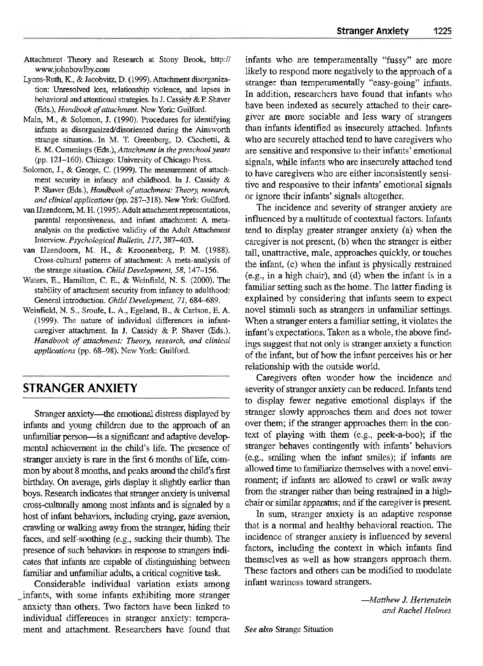- Attachment. Theory and Research at Stony Brook, http:// www.johnbowlhy.com
- Lyons-Ruth, **K.,** & Jacobvitz, D. (1999). Attachment disorganization: Unresolved loss, relationship violence, and lapses in behavioral and attentional strategies. In J. Cassidy & P. Shaver (Eds.), *Handbook of attachment.* New **York:** Gnilford.
- Main, M., & Solomon, J. (1990). Procedures for identifying infants as **disorganizedldisoriented** during the Ainsworth strange situation. In M. T. Greenberg, D. Cicchetti, & E. M. Cummings (Eds.), *Attachment* in *the preschool years*  (pp. 121-160). Chicago: University of Chicago Press.
- Solomon, I., & George, C. (1999). The measurement of attachment security in infancy and childhood. In J. Cassidy & P. Shaver (Eds.), *Handbook of attachment: Theory, research*, and clinical applications (pp. 287-318). New York: Guilford.
- van IJzendoorn, M. H. (1995). Adult attachment representations, parental responsiveness, and infant attachment: **A** metaanalysis on the predictive validity of the Adult Attachment Interview. Psychological Bulletin, 117, 387-403.
- van IJzendoorn, M. H., & Kroonenherg, **P.** M. (1988). Cross-cultural patterns of attachment: A meta-analysis of the strange situation. *Child Development,* 58, 147-156.
- Waters, E., Hamilton, C. E., & Weinfield, N. **S.** (2000). The stability of attachment security from infancy to adulthood: General introduction. *Child Development,* 71, 684-689.
- Weinfield, N. S., Sroufe, L. A,, Egeland, B., & Carlson, E. **A.**  (1999). The nature of individual differences in infantcaregiver attachment. In I. Cassidy & P. Shaver (Eds.), Handbook of attachment: Theory, research, and clinical *applications* (pp. 68-98). New York: Guilford.

# **STRANGER ANXIETY**

Stranger anxiety-the emotional distress displayed by infants and young children due to the approach of an unfamiliar person-is a significant and adaptive developmental achievement in the child's life. The presence of stranger anxiety is rare in the first 6 months of life, common by about 8 months, and peaks around the child's first birthday. On average, girls display it slightly earlier than boys. Research indicates that stranger anxiety is universal cross-culturally among most infants and is signaled by a host of infant behaviors, including crying, gaze aversion, crawling or walking away from the stranger, hiding their faces, and self-soothing (e.g., sucking their thumb). The presence of such behaviors in response to strangers indicates that infants are capable of distinguishing between familiar and unfamiliar adults, a critical cognitive task.

Considerable individual variation exists among - infants, with some infants exhibiting more stranger anxiety than others. Two factors have been linked to individual differences in stranger anxiety: temperament and attachment. Researchers have found that infants who are temperamentally "fussy" are more likely to respond more negatively to the approach of a stranger than temperamentally "easy-going" infants. In addition, researchers have found that infants who have been indexed as securely attached to their caregiver are more sociable and less wary of strangers than infants identified as insecurely attached. Infants who are securely attached tend to have caregivers who are sensitive and responsive to their infants' emotional signals, while infants who are insecurely attached tend to have caregivers who are either inconsistently sensitive and responsive to their infants' emotional signals or ignore their infants' signals altogether.

The incidence and severity of stranger anxiety are influenced by a multitude of contextual factors. Infants tend to display greater stranger anxiety (a) when the caregiver is not present, (b) when the stranger is either tall, unattractive, male, approaches quickly, or touches the infant, (c) when the infant is physically restrained (e.g., in a high chair), and (d) when the infant is in a familiar setting such as the home. The latter finding is explained by considering that infants seem to expect novel stimuli such as strangers in unfamiliar settings. When a stranger enters a familiar setting, it violates the infant's expectations. Taken as a whole, the above findings suggest that not only is stranger anxiety a function of the infant, but of how the infant perceives his or her relationship with the outside world.

Caregivers often wonder how the incidence and severity of stranger anxiety can be reduced. Infants tend to display fewer negative emotional displays if the stranger slowly approaches them and does not tower over them; if the stranger approaches them in the context of playing with them (e.g., peek-a-boo); if the stranger behaves contingently with infants' behaviors (e.g., smiling when the infant smiles); if infants are allowed time to familiarize themselves with a novel environment; if infants are allowed to crawl or walk away from the stranger rather than being restrained in a highchair or similar apparatus; and if the caregiver is present.

In sum, stranger anxiety is an adaptive response that is a normal and healthy behavioral reaction. The incidence of stranger anxiety is influenced by several factors, including the context in which infants fmd themselves as well as how strangers approach them. These factors and others can be modified to modulate infant wariness toward strangers.

> *-Manhew J. Hertenstein and Rachel Holmes*

*See also* Strange Situation